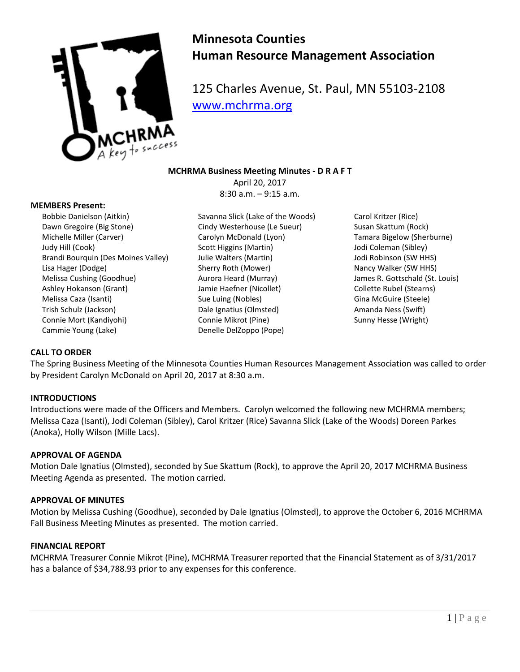

# **Minnesota Counties Human Resource Management Association**

125 Charles Avenue, St. Paul, MN 55103-2108 [www.mchrma.org](http://www.mchrma.org/)

## **MCHRMA Business Meeting Minutes - D R A F T**

April 20, 2017 8:30 a.m. – 9:15 a.m.

#### **MEMBERS Present:**

- Bobbie Danielson (Aitkin) Dawn Gregoire (Big Stone) Michelle Miller (Carver) Judy Hill (Cook) Brandi Bourquin (Des Moines Valley) Lisa Hager (Dodge) Melissa Cushing (Goodhue) Ashley Hokanson (Grant) Melissa Caza (Isanti) Trish Schulz (Jackson) Connie Mort (Kandiyohi) Cammie Young (Lake)
- Savanna Slick (Lake of the Woods) Cindy Westerhouse (Le Sueur) Carolyn McDonald (Lyon) Scott Higgins (Martin) Julie Walters (Martin) Sherry Roth (Mower) Aurora Heard (Murray) Jamie Haefner (Nicollet) Sue Luing (Nobles) Dale Ignatius (Olmsted) Connie Mikrot (Pine) Denelle DelZoppo (Pope)

Carol Kritzer (Rice) Susan Skattum (Rock) Tamara Bigelow (Sherburne) Jodi Coleman (Sibley) Jodi Robinson (SW HHS) Nancy Walker (SW HHS) James R. Gottschald (St. Louis) Collette Rubel (Stearns) Gina McGuire (Steele) Amanda Ness (Swift) Sunny Hesse (Wright)

## **CALL TO ORDER**

The Spring Business Meeting of the Minnesota Counties Human Resources Management Association was called to order by President Carolyn McDonald on April 20, 2017 at 8:30 a.m.

#### **INTRODUCTIONS**

Introductions were made of the Officers and Members. Carolyn welcomed the following new MCHRMA members; Melissa Caza (Isanti), Jodi Coleman (Sibley), Carol Kritzer (Rice) Savanna Slick (Lake of the Woods) Doreen Parkes (Anoka), Holly Wilson (Mille Lacs).

## **APPROVAL OF AGENDA**

Motion Dale Ignatius (Olmsted), seconded by Sue Skattum (Rock), to approve the April 20, 2017 MCHRMA Business Meeting Agenda as presented. The motion carried.

#### **APPROVAL OF MINUTES**

Motion by Melissa Cushing (Goodhue), seconded by Dale Ignatius (Olmsted), to approve the October 6, 2016 MCHRMA Fall Business Meeting Minutes as presented. The motion carried.

#### **FINANCIAL REPORT**

MCHRMA Treasurer [Connie Mikrot](mailto:lisa.herges@co.mille-lacs.mn.us) (Pine), MCHRMA Treasurer reported that the Financial Statement as of 3/31/2017 has a balance of \$34,788.93 prior to any expenses for this conference.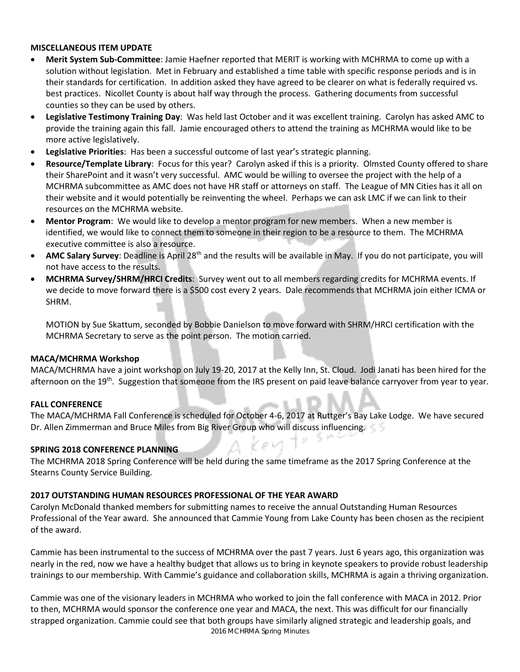### **MISCELLANEOUS ITEM UPDATE**

- **Merit System Sub-Committee**: Jamie Haefner reported that MERIT is working with MCHRMA to come up with a solution without legislation. Met in February and established a time table with specific response periods and is in their standards for certification. In addition asked they have agreed to be clearer on what is federally required vs. best practices. Nicollet County is about half way through the process. Gathering documents from successful counties so they can be used by others.
- **Legislative Testimony Training Day**: Was held last October and it was excellent training. Carolyn has asked AMC to provide the training again this fall. Jamie encouraged others to attend the training as MCHRMA would like to be more active legislatively.
- **Legislative Priorities**: Has been a successful outcome of last year's strategic planning.
- **Resource/Template Library**: Focus for this year? Carolyn asked if this is a priority. Olmsted County offered to share their SharePoint and it wasn't very successful. AMC would be willing to oversee the project with the help of a MCHRMA subcommittee as AMC does not have HR staff or attorneys on staff. The League of MN Cities has it all on their website and it would potentially be reinventing the wheel. Perhaps we can ask LMC if we can link to their resources on the MCHRMA website.
- **Mentor Program**: We would like to develop a mentor program for new members. When a new member is identified, we would like to connect them to someone in their region to be a resource to them. The MCHRMA executive committee is also a resource.
- **AMC Salary Survey**: Deadline is April 28th and the results will be available in May. If you do not participate, you will not have access to the results.
- **MCHRMA Survey/SHRM/HRCI Credits**: Survey went out to all members regarding credits for MCHRMA events. If we decide to move forward there is a \$500 cost every 2 years. Dale recommends that MCHRMA join either ICMA or SHRM.

MOTION by Sue Skattum, seconded by Bobbie Danielson to move forward with SHRM/HRCI certification with the MCHRMA Secretary to serve as the point person. The motion carried.

## **MACA/MCHRMA Workshop**

MACA/MCHRMA have a joint workshop on July 19-20, 2017 at the Kelly Inn, St. Cloud. Jodi Janati has been hired for the afternoon on the 19<sup>th</sup>. Suggestion that someone from the IRS present on paid leave balance carryover from year to year.

## **FALL CONFERENCE**

The MACA/MCHRMA Fall Conference is scheduled for October 4-6, 2017 at Ruttger's Bay Lake Lodge. We have secured Dr. Allen Zimmerman and Bruce Miles from Big River Group who will discuss influencing.

## **SPRING 2018 CONFERENCE PLANNING**

The MCHRMA 2018 Spring Conference will be held during the same timeframe as the 2017 Spring Conference at the Stearns County Service Building.

## **2017 OUTSTANDING HUMAN RESOURCES PROFESSIONAL OF THE YEAR AWARD**

Carolyn McDonald thanked members for submitting names to receive the annual Outstanding Human Resources Professional of the Year award. She announced that Cammie Young from Lake County has been chosen as the recipient of the award.

Cammie has been instrumental to the success of MCHRMA over the past 7 years. Just 6 years ago, this organization was nearly in the red, now we have a healthy budget that allows us to bring in keynote speakers to provide robust leadership trainings to our membership. With Cammie's guidance and collaboration skills, MCHRMA is again a thriving organization.

2016 MCHRMA Spring Minutes Cammie was one of the visionary leaders in MCHRMA who worked to join the fall conference with MACA in 2012. Prior to then, MCHRMA would sponsor the conference one year and MACA, the next. This was difficult for our financially strapped organization. Cammie could see that both groups have similarly aligned strategic and leadership goals, and